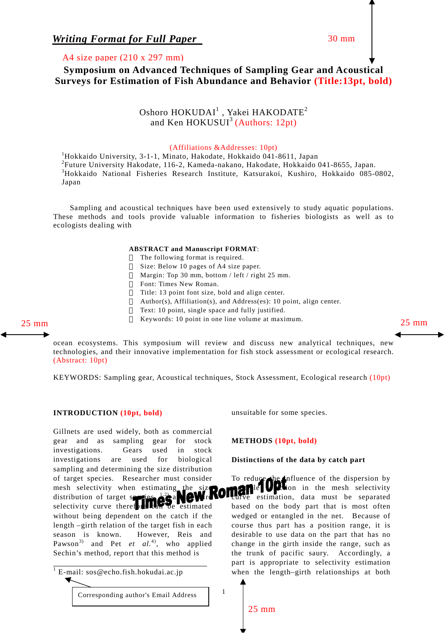*Writing Format for Full Paper* 30 mm

## A4 size paper (210 x 297 mm)

**Symposium on Advanced Techniques of Sampling Gear and Acoustical Surveys for Estimation of Fish Abundance and Behavior (Title:13pt, bold)**

# Oshoro  $\mathrm{HOKUDAI}^{1}$  , Yakei  $\mathrm{HAKODATE}^{2}$ and Ken HOKUSUI<sup>3</sup> (Authors: 12pt)

(Affiliations &Addresses: 10pt)<br><sup>1</sup>Hokkaido University, 3-1-1, Minato, Hakodate, Hokkaido 041-8611, Japan 2 Future University Hakodate, 116-2, Kameda-nakano, Hakodate, Hokkaido 041-8655, Japan. 3 Hokkaido National Fisheries Research Institute, Katsurakoi, Kushiro, Hokkaido 085-0802, Japan

Sampling and acoustical techniques have been used extensively to study aquatic populations. These methods and tools provide valuable information to fisheries biologists as well as to ecologists dealing with

#### **ABSTRACT and Manuscript FORMAT**:

 The following format is required. Size: Below 10 pages of A4 size paper. Margin: Top 30 mm, bottom / left / right 25 mm. Font: Times New Roman. Title: 13 point font size, bold and align center. Author(s), Affiliation(s), and Address(es): 10 point, align center. Text: 10 point, single space and fully justified. 25 mm Keywords: 10 point in one line volume at maximum. 25 mm 25 mm

l

ocean ecosystems. This symposium will review and discuss new analytical techniques, new technologies, and their innovative implementation for fish stock assessment or ecological research. (Abstract: 10pt)

KEYWORDS: Sampling gear, Acoustical techniques, Stock Assessment, Ecological research (10pt)

#### **INTRODUCTION (10pt, bold)**

Gillnets are used widely, both as commercial gear and as sampling gear for stock investigations. Gears used in stock investigations are used for biological sampling and determining the size distribution of target species. Researcher must consider mesh selectivity when estimating the size distribution of target species,  $\frac{1}{2}$  and  $\mathbf{Q}\mathbf{W}$ re selectivity curve therefore  $\mathbf{u}$  be estimated without being dependent on the catch if the length –girth relation of the target fish in each season is known. However, Reis and Pawson<sup>3)</sup> and Pet *et al.*<sup>4)</sup>, who applied Sechin's method, report that this method is

unsuitable for some species.

### **METHODS (10pt, bold)**

#### **Distinctions of the data by catch part**

To reduce the influence of the dispersion by  $\blacksquare$  in the mesh selectivity estimation, data must be separated based on the body part that is most often wedged or entangled in the net. Because of course thus part has a position range, it is desirable to use data on the part that has no change in the girth inside the range, such as the trunk of pacific saury. Accordingly, a part is appropriate to selectivity estimation when the length–girth relationships at both

25 mm

1

<sup>&</sup>lt;sup>1</sup> E-mail: sos@echo.fish.hokudai.ac.jp Corresponding author's Email Address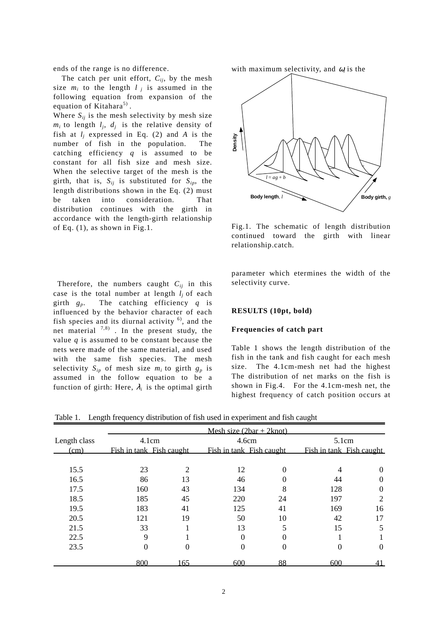ends of the range is no difference.

The catch per unit effort,  $C_{ii}$ , by the mesh size  $m_i$  to the length  $l_i$  is assumed in the following equation from expansion of the equation of Kitahara<sup>5)</sup>.

Where  $S_{ij}$  is the mesh selectivity by mesh size  $m_i$  to length  $l_i$ ,  $d_i$  is the relative density of fish at  $l_i$  expressed in Eq. (2) and A is the number of fish in the population. The catching efficiency *q* is assumed to be constant for all fish size and mesh size. When the selective target of the mesh is the girth, that is,  $S_{ij}$  is substituted for  $S_{ip}$ , the length distributions shown in the Eq. (2) must be taken into consideration. That distribution continues with the girth in accordance with the length-girth relationship of Eq. (1), as shown in Fig.1.

Therefore, the numbers caught  $C_{ii}$  in this case is the total number at length  $l_i$  of each girth  $g_p$ . The catching efficiency  $q$  is influenced by the behavior character of each fish species and its diurnal activity  $6$ , and the net material  $^{7,8)}$ . In the present study, the value  $q$  is assumed to be constant because the nets were made of the same material, and used with the same fish species. The mesh selectivity  $S_{in}$  of mesh size  $m_i$  to girth  $g_p$  is assumed in the follow equation to be a function of girth: Here,  $\lambda_i$  is the optimal girth



Fig.1. The schematic of length distribution continued toward the girth with linear relationship.catch.

parameter which etermines the width of the selectivity curve.

#### **RESULTS (10pt, bold)**

#### **Frequencies of catch part**

Table 1 shows the length distribution of the fish in the tank and fish caught for each mesh size. The 4.1cm-mesh net had the highest The distribution of net marks on the fish is shown in Fig.4. For the 4.1cm-mesh net, the highest frequency of catch position occurs at

Table 1. Length frequency distribution of fish used in experiment and fish caught

|              | Mesh size $(2bar + 2knot)$        |                |                                   |          |                                   |                |
|--------------|-----------------------------------|----------------|-----------------------------------|----------|-----------------------------------|----------------|
| Length class | 4.1cm<br>Fish in tank Fish caught |                | 4.6cm<br>Fish in tank Fish caught |          | 5.1cm<br>Fish in tank Fish caught |                |
| (cm)         |                                   |                |                                   |          |                                   |                |
|              |                                   |                |                                   |          |                                   |                |
| 15.5         | 23                                | $\overline{2}$ | 12                                | $\theta$ | 4                                 | $\theta$       |
| 16.5         | 86                                | 13             | 46                                |          | 44                                | 0              |
| 17.5         | 160                               | 43             | 134                               | 8        | 128                               | $\overline{0}$ |
| 18.5         | 185                               | 45             | 220                               | 24       | 197                               | 2              |
| 19.5         | 183                               | 41             | 125                               | 41       | 169                               | 16             |
| 20.5         | 121                               | 19             | 50                                | 10       | 42                                | 17             |
| 21.5         | 33                                |                | 13                                | 5        | 15                                | 5              |
| 22.5         | 9                                 |                | $\theta$                          | 0        |                                   |                |
| 23.5         | $\theta$                          | 0              | $\theta$                          | $\Omega$ |                                   | $\theta$       |
|              | 800                               | 165            | 600                               | 88       | 600                               |                |